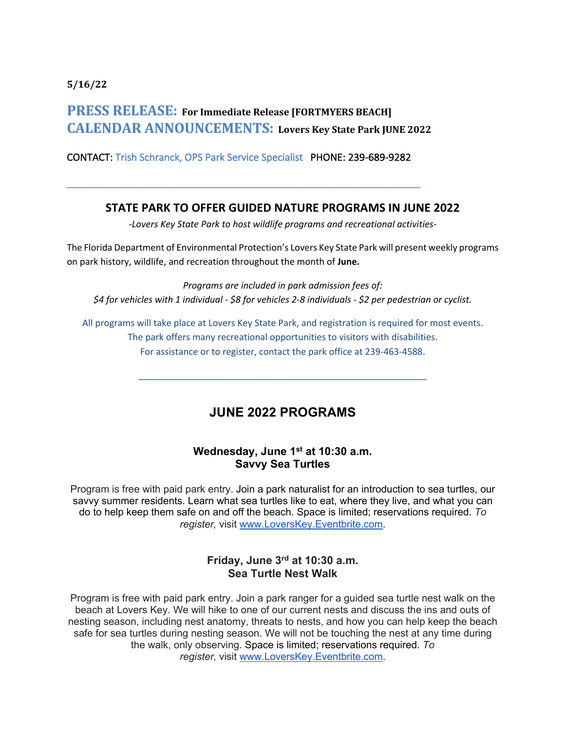**5/16/22**

# **PRESS RELEASE:** For Immediate Release [FORTMYERS BEACH] **CALENDAR ANNOUNCEMENTS: Lovers Key State Park JUNE <sup>2022</sup>**

CONTACT: Trish Schranck, OPS Park Service Specialist PHONE: 239-689-9282

**\_\_\_\_\_\_\_\_\_\_\_\_\_\_\_\_\_\_\_\_\_\_\_\_\_\_\_\_\_\_\_\_\_\_\_\_\_\_\_\_\_\_\_\_\_\_\_\_\_\_\_\_\_\_\_\_\_\_\_\_\_\_\_\_\_\_\_\_\_\_\_\_\_\_\_\_\_**

### **STATE PARK TO OFFER GUIDED NATURE PROGRAMS IN JUNE 2022**

*-Lovers Key State Park to host wildlife programs and recreational activities-*

The Florida Department of Environmental Protection's Lovers Key State Park will present weekly programs on park history, wildlife, and recreation throughout the month of **June.**

*Programs are included in park admission fees of: \$4 for vehicles with 1 individual - \$8 for vehicles 2-8 individuals - \$2 per pedestrian or cyclist.* 

All programs will take place at Lovers Key State Park, and registration is required for most events. The park offers many recreational opportunities to visitors with disabilities. For assistance or to register, contact the park office at 239-463-4588.

\_\_\_\_\_\_\_\_\_\_\_\_\_\_\_\_\_\_\_\_\_\_\_\_\_\_\_\_\_\_\_\_\_\_\_\_\_\_\_\_\_\_\_\_\_\_\_\_\_\_\_\_\_\_\_\_\_

## **JUNE 2022 PROGRAMS**

#### **Wednesday, June 1st at 10:30 a.m. Savvy Sea Turtles**

Program is free with paid park entry. Join a park naturalist for an introduction to sea turtles, our savvy summer residents. Learn what sea turtles like to eat, where they live, and what you can do to help keep them safe on and off the beach. Space is limited; reservations required. *To register,* visit www.LoversKey.Eventbrite.com.

### **Friday, June 3rd at 10:30 a.m. Sea Turtle Nest Walk**

Program is free with paid park entry. Join a park ranger for a guided sea turtle nest walk on the beach at Lovers Key. We will hike to one of our current nests and discuss the ins and outs of nesting season, including nest anatomy, threats to nests, and how you can help keep the beach safe for sea turtles during nesting season. We will not be touching the nest at any time during the walk, only observing. Space is limited; reservations required. *To register,* visit www.LoversKey.Eventbrite.com.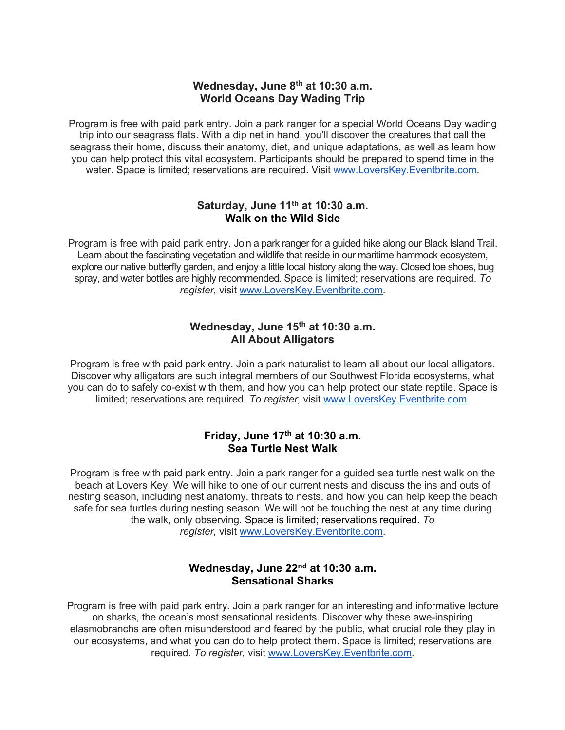#### **Wednesday, June 8th at 10:30 a.m. World Oceans Day Wading Trip**

Program is free with paid park entry. Join a park ranger for a special World Oceans Day wading trip into our seagrass flats. With a dip net in hand, you'll discover the creatures that call the seagrass their home, discuss their anatomy, diet, and unique adaptations, as well as learn how you can help protect this vital ecosystem. Participants should be prepared to spend time in the water. Space is limited; reservations are required. Visit www.LoversKey.Eventbrite.com.

#### **Saturday, June 11th at 10:30 a.m. Walk on the Wild Side**

Program is free with paid park entry. Join a park ranger for a guided hike along our Black Island Trail. Learn about the fascinating vegetation and wildlife that reside in our maritime hammock ecosystem, explore our native butterfly garden, and enjoy a little local history along the way. Closed toe shoes, bug spray, and water bottles are highly recommended. Space is limited; reservations are required. *To register,* visit www.LoversKey.Eventbrite.com.

#### **Wednesday, June 15th at 10:30 a.m. All About Alligators**

Program is free with paid park entry. Join a park naturalist to learn all about our local alligators. Discover why alligators are such integral members of our Southwest Florida ecosystems, what you can do to safely co-exist with them, and how you can help protect our state reptile. Space is limited; reservations are required. *To register,* visit www.LoversKey.Eventbrite.com.

### **Friday, June 17th at 10:30 a.m. Sea Turtle Nest Walk**

Program is free with paid park entry. Join a park ranger for a guided sea turtle nest walk on the beach at Lovers Key. We will hike to one of our current nests and discuss the ins and outs of nesting season, including nest anatomy, threats to nests, and how you can help keep the beach safe for sea turtles during nesting season. We will not be touching the nest at any time during the walk, only observing. Space is limited; reservations required. *To register,* visit www.LoversKey.Eventbrite.com.

## **Wednesday, June 22nd at 10:30 a.m. Sensational Sharks**

Program is free with paid park entry. Join a park ranger for an interesting and informative lecture on sharks, the ocean's most sensational residents. Discover why these awe-inspiring elasmobranchs are often misunderstood and feared by the public, what crucial role they play in our ecosystems, and what you can do to help protect them. Space is limited; reservations are required. *To register,* visit www.LoversKey.Eventbrite.com.